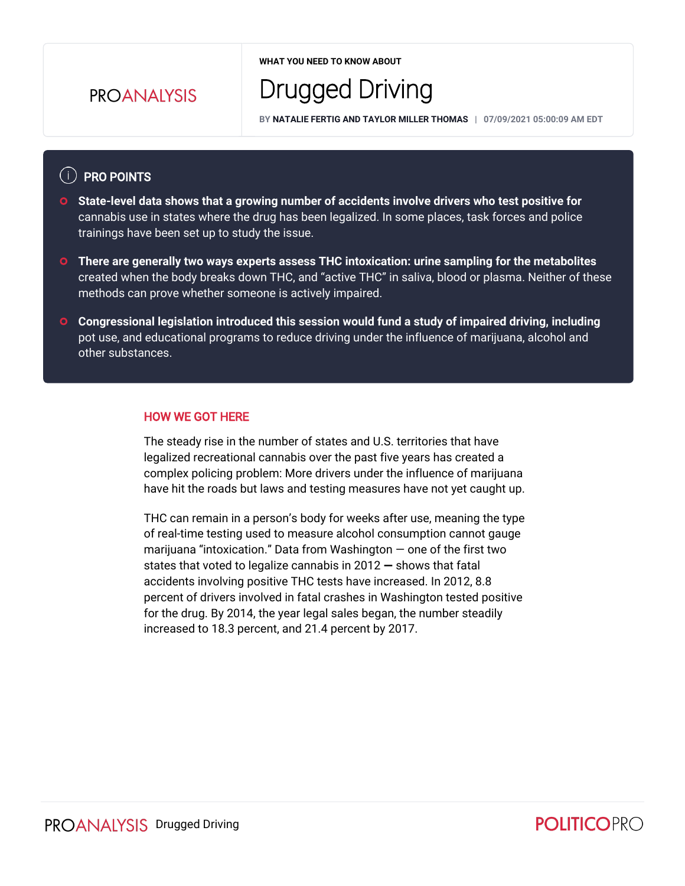## **PROANAIYSIS**

**WHAT YOU NEED TO KNOW ABOUT**

# Drugged Driving

**BY NATALIE FERTIG AND TAYLOR MILLER THOMAS | 07/09/2021 05:00:09 AM EDT**

#### $(i)$  PRO POINTS

- **State-level data shows that a growing number of accidents involve drivers who test positive for**  cannabis use in states where the drug has been legalized. In some places, task forces and police trainings have been set up to study the issue.
- **There are generally two ways experts assess THC intoxication: urine sampling for the metabolites**  created when the body breaks down THC, and "active THC" in saliva, blood or plasma. Neither of these methods can prove whether someone is actively impaired.
- **Congressional legislation introduced this session would fund a study of impaired driving, including** pot use, and educational programs to reduce driving under the influence of marijuana, alcohol and other substances.

#### HOW WE GOT HERE

The steady rise in the number of states and U.S. territories that have legalized recreational cannabis over the past five years has created a complex policing problem: More drivers under the influence of marijuana have hit the roads but laws and testing measures have not yet caught up.

THC can remain in a person's body for weeks after use, meaning the type of real-time testing used to measure alcohol consumption cannot gauge marijuana "intoxication." Data from Washington — one of the first two states that voted to legalize cannabis in  $2012 -$  shows that fatal accidents involving positive THC tests have increased. In 2012, 8.8 percent of drivers involved in fatal crashes in Washington tested positive for the drug. By 2014, the year legal sales began, the number steadily increased to 18.3 percent, and 21.4 percent by 2017.

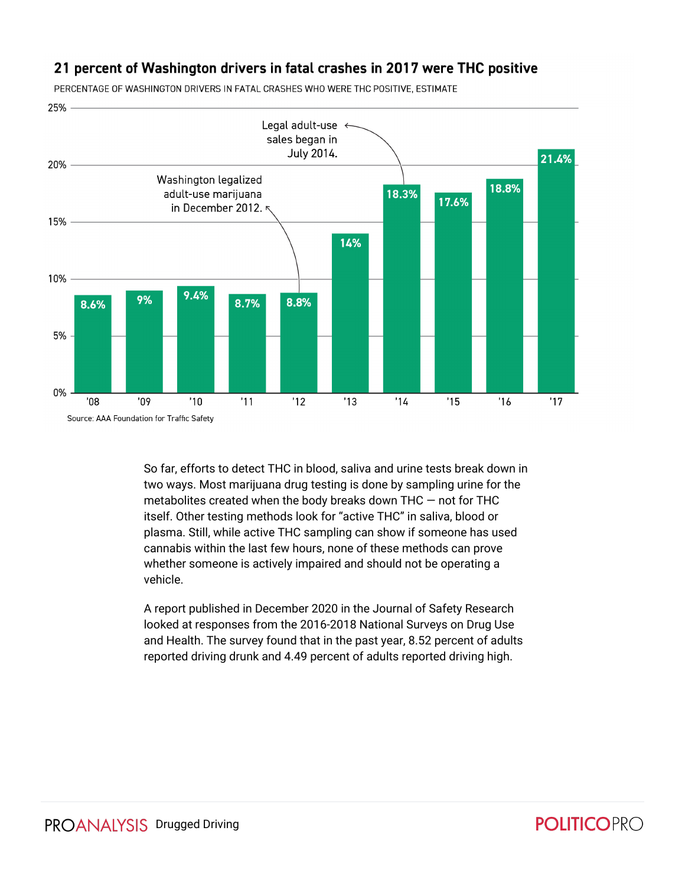#### 21 percent of Washington drivers in fatal crashes in 2017 were THC positive

25% Legal adult-use  $\leftarrow$ sales began in July 2014. 21.4% 20% Washington legalized 18.8% adult-use marijuana 18.3% 17.6% in December 2012. 15% 14% 10% 9.4% 9% 8.7% 8.8% 8.6% 5% 0%  $'11$  $'12$  $'08$  $'09$  $'10$  $'13$  $'14$  $'15$  $'16$  $'17$ Source: AAA Foundation for Traffic Safety

PERCENTAGE OF WASHINGTON DRIVERS IN FATAL CRASHES WHO WERE THC POSITIVE, ESTIMATE

So far, efforts to detect THC in blood, saliva and urine tests break down in two ways. Most marijuana drug testing is done by sampling urine for the metabolites created when the body breaks down THC — not for THC itself. Other testing methods look for "active THC" in saliva, blood or plasma. Still, while active THC sampling can show if someone has used cannabis within the last few hours, none of these methods can prove whether someone is actively impaired and should not be operating a vehicle.

A report published in December 2020 in the Journal of Safety Research looked at responses from the 2016-2018 National Surveys on Drug Use and Health. The survey found that in the past year, 8.52 percent of adults reported driving drunk and 4.49 percent of adults reported driving high.

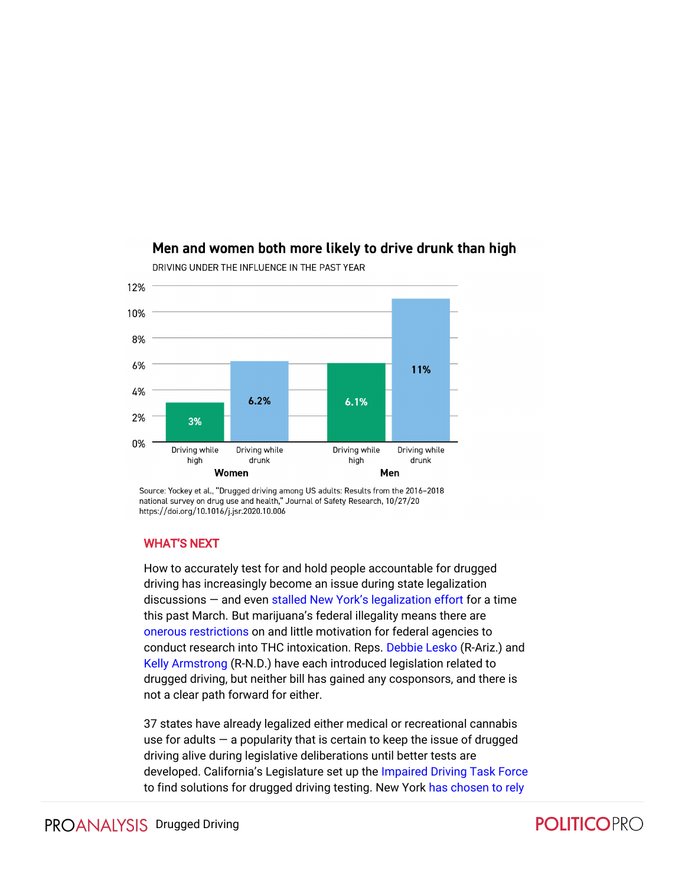

DRIVING UNDER THE INFLUENCE IN THE PAST YEAR

Men and women both more likely to drive drunk than high

Source: Yockey et al., "Drugged driving among US adults: Results from the 2016-2018 national survey on drug use and health," Journal of Safety Research, 10/27/20 https://doi.org/10.1016/j.jsr.2020.10.006

#### WHAT'S NEXT

How to accurately test for and hold people accountable for drugged driving has increasingly become an issue during state legalization discussions — and even [stalled New York's legalization effort](https://subscriber.politicopro.com/article/2021/03/new-york-senate-leader-says-legal-marijuana-talks-at-impasse-on-impaired-driving-3987602) for a time this past March. But marijuana's federal illegality means there are [onerous restrictions](https://subscriber.politicopro.com/article/2019/10/14/cannabis-medical-marijuana-research-000984) on and little motivation for federal agencies to conduct research into THC intoxication. Reps. [Debbie Lesko](https://cd.politicopro.com/member/189148) (R-Ariz.) and [Kelly Armstrong](https://cd.politicopro.com/member/241036) (R-N.D.) have each introduced legislation related to drugged driving, but neither bill has gained any cosponsors, and there is not a clear path forward for either.

37 states have already legalized either medical or recreational cannabis use for adults  $-$  a popularity that is certain to keep the issue of drugged driving alive during legislative deliberations until better tests are developed. California's Legislature set up the [Impaired Driving Task Force](https://www.chp.ca.gov/ImpairedDrivingSite/Documents/Senate_Bill_94.pdf) to find solutions for drugged driving testing. New York [has chosen to rely](https://subscriber.politicopro.com/article/2021/04/policymakers-desperately-want-a-solution-to-the-stoned-driving-dilemma-2051990) 

# **POLITICOPRO**